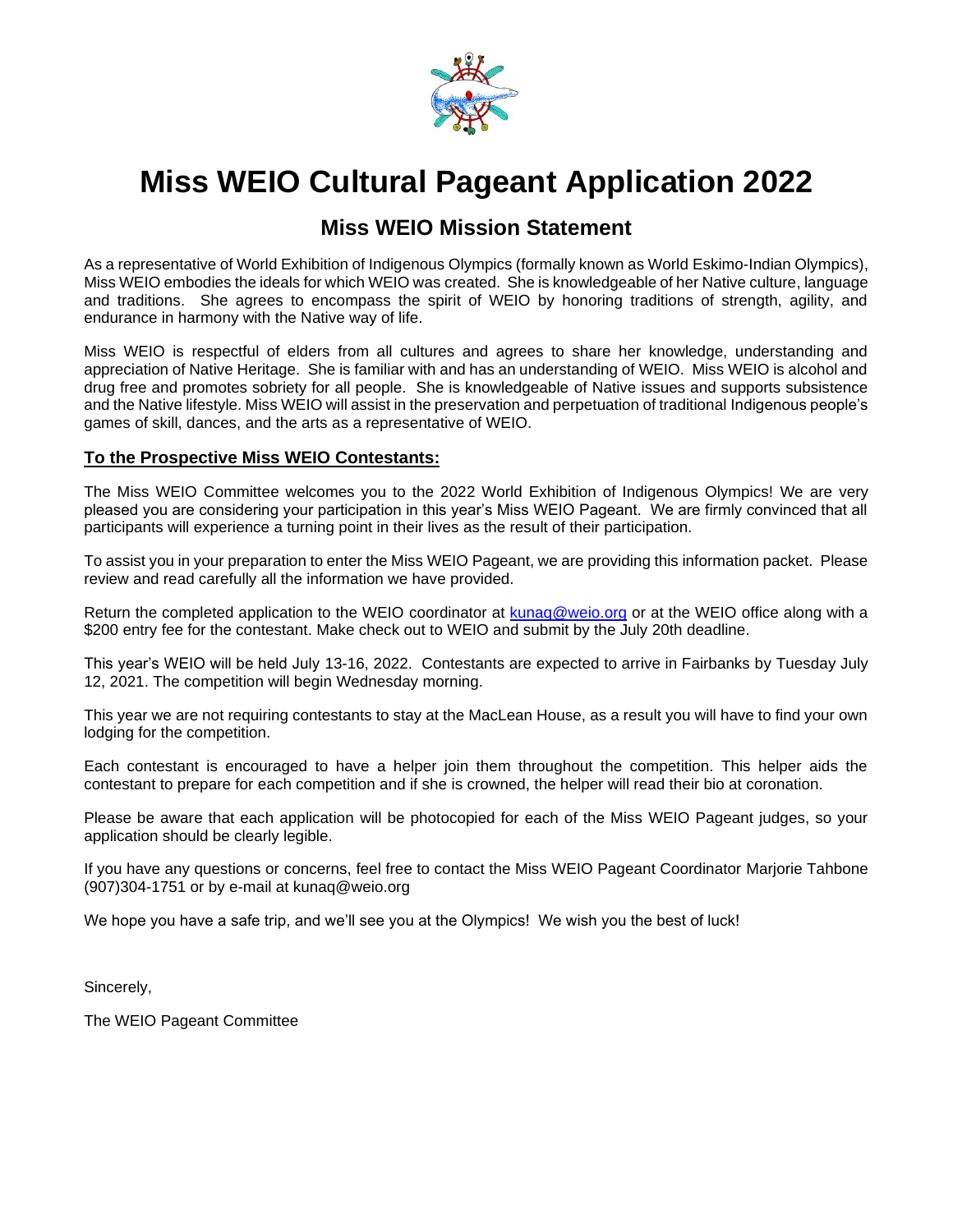

# **Miss WEIO Cultural Pageant Application 2022**

## **Miss WEIO Mission Statement**

As a representative of World Exhibition of Indigenous Olympics (formally known as World Eskimo-Indian Olympics), Miss WEIO embodies the ideals for which WEIO was created. She is knowledgeable of her Native culture, language and traditions. She agrees to encompass the spirit of WEIO by honoring traditions of strength, agility, and endurance in harmony with the Native way of life.

Miss WEIO is respectful of elders from all cultures and agrees to share her knowledge, understanding and appreciation of Native Heritage. She is familiar with and has an understanding of WEIO. Miss WEIO is alcohol and drug free and promotes sobriety for all people. She is knowledgeable of Native issues and supports subsistence and the Native lifestyle. Miss WEIO will assist in the preservation and perpetuation of traditional Indigenous people's games of skill, dances, and the arts as a representative of WEIO.

### **To the Prospective Miss WEIO Contestants:**

The Miss WEIO Committee welcomes you to the 2022 World Exhibition of Indigenous Olympics! We are very pleased you are considering your participation in this year's Miss WEIO Pageant. We are firmly convinced that all participants will experience a turning point in their lives as the result of their participation.

To assist you in your preparation to enter the Miss WEIO Pageant, we are providing this information packet. Please review and read carefully all the information we have provided.

Return the completed application to the WEIO coordinator at [kunaq@weio.org](mailto:kunaq@weio.org) or at the WEIO office along with a \$200 entry fee for the contestant. Make check out to WEIO and submit by the July 20th deadline.

This year's WEIO will be held July 13-16, 2022. Contestants are expected to arrive in Fairbanks by Tuesday July 12, 2021. The competition will begin Wednesday morning.

This year we are not requiring contestants to stay at the MacLean House, as a result you will have to find your own lodging for the competition.

Each contestant is encouraged to have a helper join them throughout the competition. This helper aids the contestant to prepare for each competition and if she is crowned, the helper will read their bio at coronation.

Please be aware that each application will be photocopied for each of the Miss WEIO Pageant judges, so your application should be clearly legible.

If you have any questions or concerns, feel free to contact the Miss WEIO Pageant Coordinator Marjorie Tahbone (907)304-1751 or by e-mail at kunaq@weio.org

We hope you have a safe trip, and we'll see you at the Olympics! We wish you the best of luck!

Sincerely,

The WEIO Pageant Committee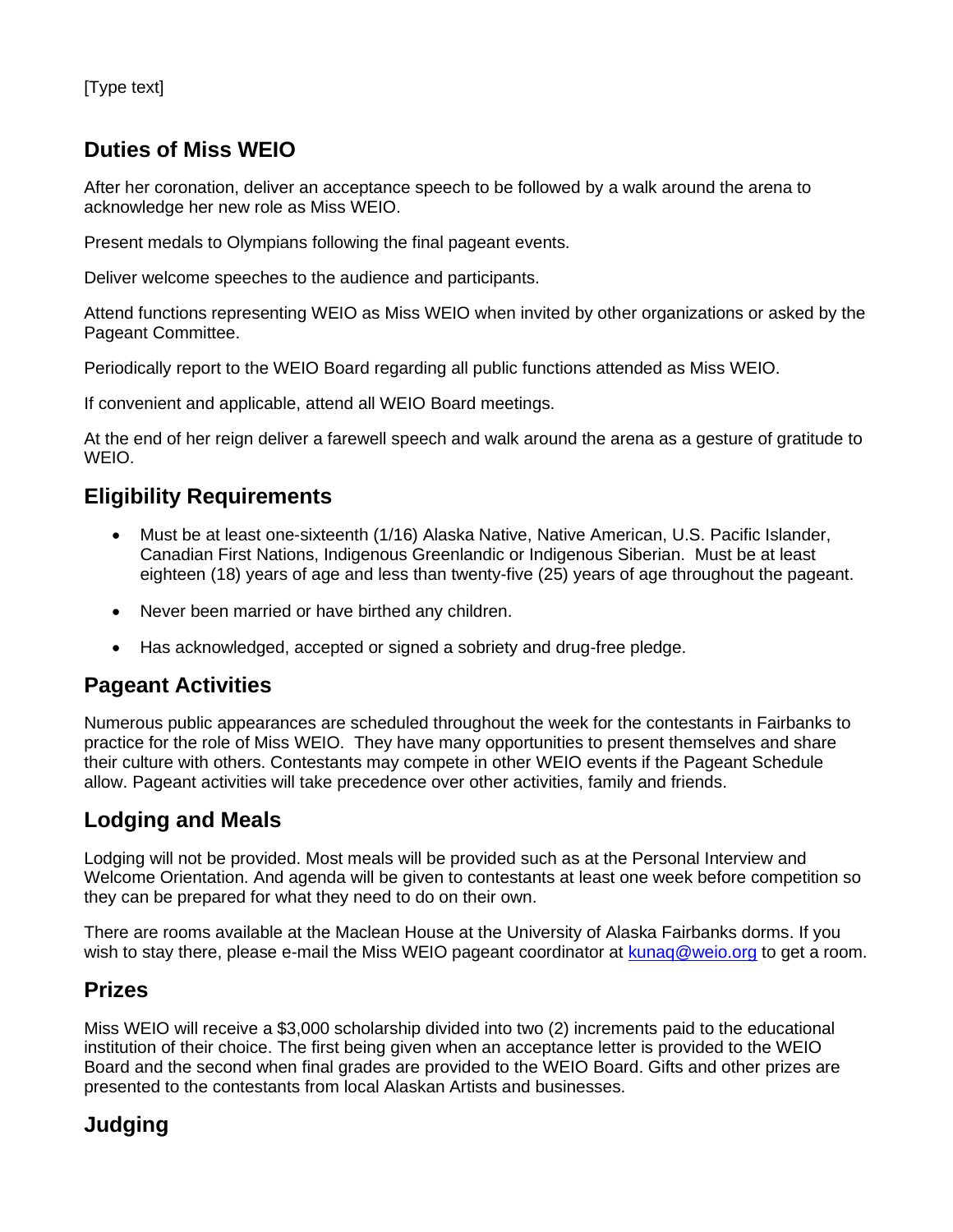## **Duties of Miss WEIO**

After her coronation, deliver an acceptance speech to be followed by a walk around the arena to acknowledge her new role as Miss WEIO.

Present medals to Olympians following the final pageant events.

Deliver welcome speeches to the audience and participants.

Attend functions representing WEIO as Miss WEIO when invited by other organizations or asked by the Pageant Committee.

Periodically report to the WEIO Board regarding all public functions attended as Miss WEIO.

If convenient and applicable, attend all WEIO Board meetings.

At the end of her reign deliver a farewell speech and walk around the arena as a gesture of gratitude to WEIO.

## **Eligibility Requirements**

- Must be at least one-sixteenth (1/16) Alaska Native, Native American, U.S. Pacific Islander, Canadian First Nations, Indigenous Greenlandic or Indigenous Siberian. Must be at least eighteen (18) years of age and less than twenty-five (25) years of age throughout the pageant.
- Never been married or have birthed any children.
- Has acknowledged, accepted or signed a sobriety and drug-free pledge.

## **Pageant Activities**

Numerous public appearances are scheduled throughout the week for the contestants in Fairbanks to practice for the role of Miss WEIO. They have many opportunities to present themselves and share their culture with others. Contestants may compete in other WEIO events if the Pageant Schedule allow. Pageant activities will take precedence over other activities, family and friends.

## **Lodging and Meals**

Lodging will not be provided. Most meals will be provided such as at the Personal Interview and Welcome Orientation. And agenda will be given to contestants at least one week before competition so they can be prepared for what they need to do on their own.

There are rooms available at the Maclean House at the University of Alaska Fairbanks dorms. If you wish to stay there, please e-mail the Miss WEIO pageant coordinator at kunag@weio.org to get a room.

## **Prizes**

Miss WEIO will receive a \$3,000 scholarship divided into two (2) increments paid to the educational institution of their choice. The first being given when an acceptance letter is provided to the WEIO Board and the second when final grades are provided to the WEIO Board. Gifts and other prizes are presented to the contestants from local Alaskan Artists and businesses.

## **Judging**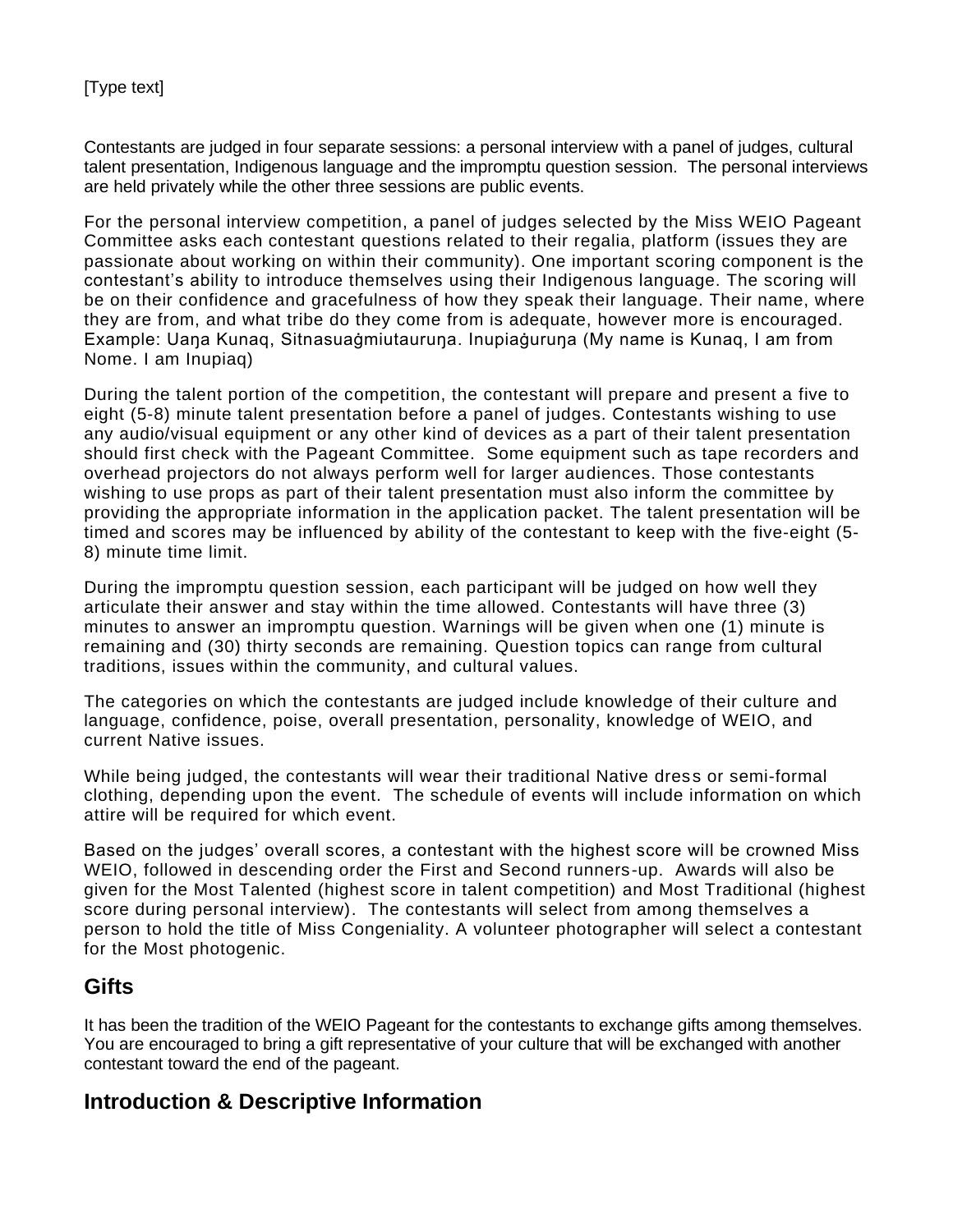Contestants are judged in four separate sessions: a personal interview with a panel of judges, cultural talent presentation, Indigenous language and the impromptu question session. The personal interviews are held privately while the other three sessions are public events.

For the personal interview competition, a panel of judges selected by the Miss WEIO Pageant Committee asks each contestant questions related to their regalia, platform (issues they are passionate about working on within their community). One important scoring component is the contestant's ability to introduce themselves using their Indigenous language. The scoring will be on their confidence and gracefulness of how they speak their language. Their name, where they are from, and what tribe do they come from is adequate, however more is encouraged. Example: Uaŋa Kunaq, Sitnasuaġmiutauruŋa. Inupiaġuruŋa (My name is Kunaq, I am from Nome. I am Inupiaq)

During the talent portion of the competition, the contestant will prepare and present a five to eight (5-8) minute talent presentation before a panel of judges. Contestants wishing to use any audio/visual equipment or any other kind of devices as a part of their talent presentation should first check with the Pageant Committee. Some equipment such as tape recorders and overhead projectors do not always perform well for larger audiences. Those contestants wishing to use props as part of their talent presentation must also inform the committee by providing the appropriate information in the application packet. The talent presentation will be timed and scores may be influenced by ability of the contestant to keep with the five-eight (5- 8) minute time limit.

During the impromptu question session, each participant will be judged on how well they articulate their answer and stay within the time allowed. Contestants will have three (3) minutes to answer an impromptu question. Warnings will be given when one (1) minute is remaining and (30) thirty seconds are remaining. Question topics can range from cultural traditions, issues within the community, and cultural values.

The categories on which the contestants are judged include knowledge of their culture and language, confidence, poise, overall presentation, personality, knowledge of WEIO, and current Native issues.

While being judged, the contestants will wear their traditional Native dress or semi-formal clothing, depending upon the event. The schedule of events will include information on which attire will be required for which event.

Based on the judges' overall scores, a contestant with the highest score will be crowned Miss WEIO, followed in descending order the First and Second runners-up. Awards will also be given for the Most Talented (highest score in talent competition) and Most Traditional (highest score during personal interview). The contestants will select from among themselves a person to hold the title of Miss Congeniality. A volunteer photographer will select a contestant for the Most photogenic.

### **Gifts**

It has been the tradition of the WEIO Pageant for the contestants to exchange gifts among themselves. You are encouraged to bring a gift representative of your culture that will be exchanged with another contestant toward the end of the pageant.

## **Introduction & Descriptive Information**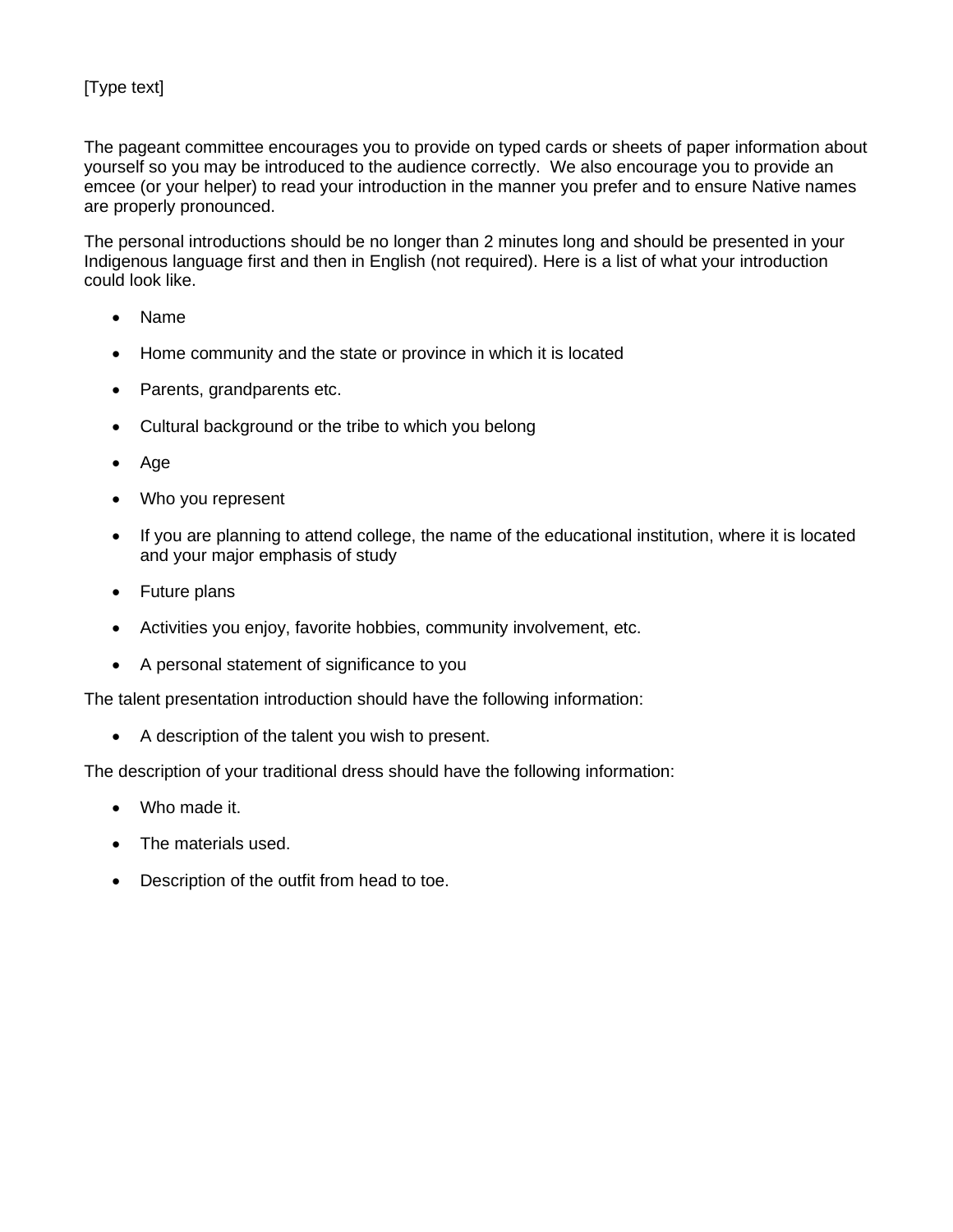The pageant committee encourages you to provide on typed cards or sheets of paper information about yourself so you may be introduced to the audience correctly. We also encourage you to provide an emcee (or your helper) to read your introduction in the manner you prefer and to ensure Native names are properly pronounced.

The personal introductions should be no longer than 2 minutes long and should be presented in your Indigenous language first and then in English (not required). Here is a list of what your introduction could look like.

- Name
- Home community and the state or province in which it is located
- Parents, grandparents etc.
- Cultural background or the tribe to which you belong
- Age
- Who you represent
- If you are planning to attend college, the name of the educational institution, where it is located and your major emphasis of study
- Future plans
- Activities you enjoy, favorite hobbies, community involvement, etc.
- A personal statement of significance to you

The talent presentation introduction should have the following information:

• A description of the talent you wish to present.

The description of your traditional dress should have the following information:

- Who made it.
- The materials used.
- Description of the outfit from head to toe.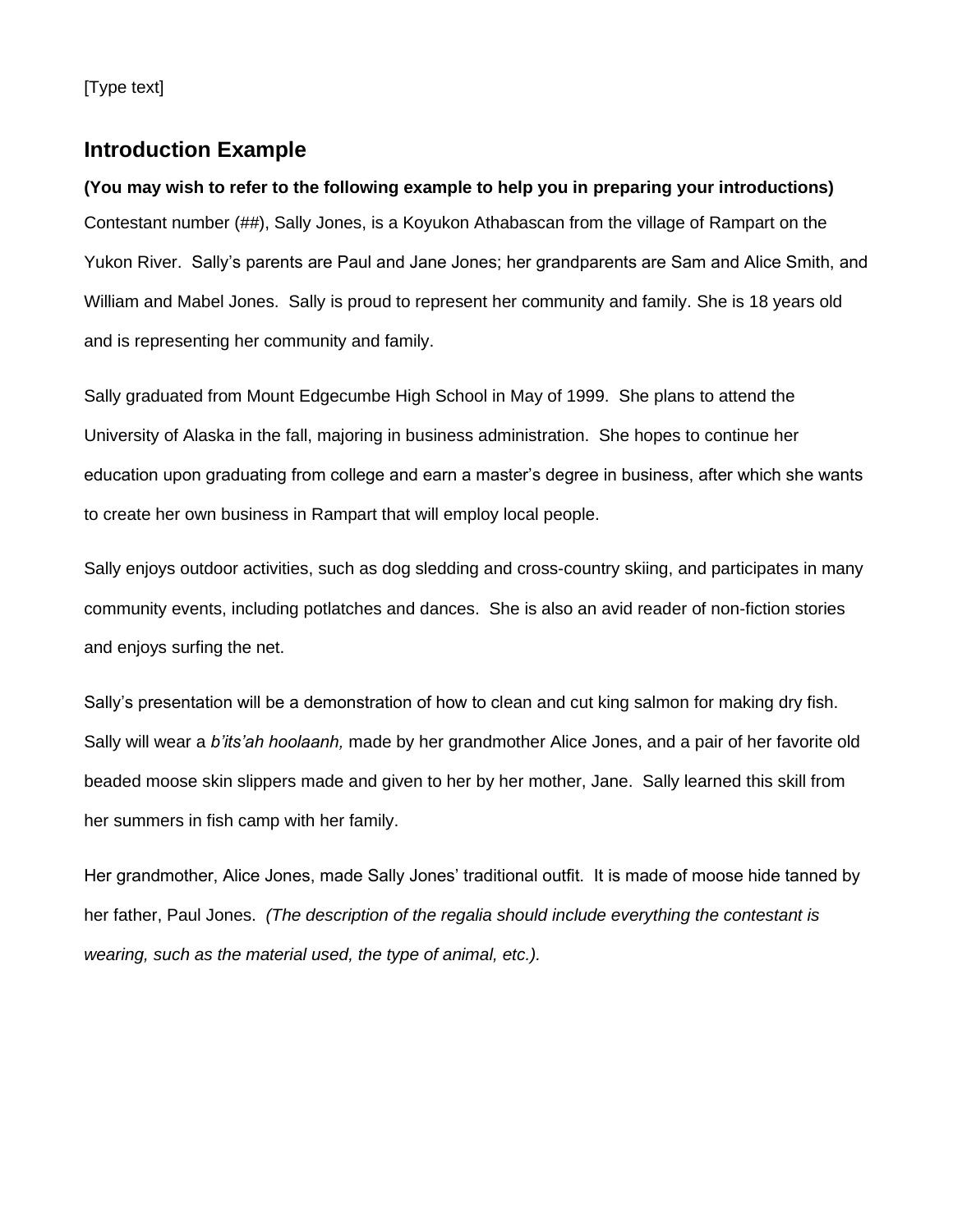### **Introduction Example**

**(You may wish to refer to the following example to help you in preparing your introductions)** Contestant number (##), Sally Jones, is a Koyukon Athabascan from the village of Rampart on the Yukon River. Sally's parents are Paul and Jane Jones; her grandparents are Sam and Alice Smith, and William and Mabel Jones. Sally is proud to represent her community and family. She is 18 years old and is representing her community and family.

Sally graduated from Mount Edgecumbe High School in May of 1999. She plans to attend the University of Alaska in the fall, majoring in business administration. She hopes to continue her education upon graduating from college and earn a master's degree in business, after which she wants to create her own business in Rampart that will employ local people.

Sally enjoys outdoor activities, such as dog sledding and cross-country skiing, and participates in many community events, including potlatches and dances. She is also an avid reader of non-fiction stories and enjoys surfing the net.

Sally's presentation will be a demonstration of how to clean and cut king salmon for making dry fish. Sally will wear a *b'its'ah hoolaanh,* made by her grandmother Alice Jones, and a pair of her favorite old beaded moose skin slippers made and given to her by her mother, Jane. Sally learned this skill from her summers in fish camp with her family.

Her grandmother, Alice Jones, made Sally Jones' traditional outfit. It is made of moose hide tanned by her father, Paul Jones. *(The description of the regalia should include everything the contestant is wearing, such as the material used, the type of animal, etc.).*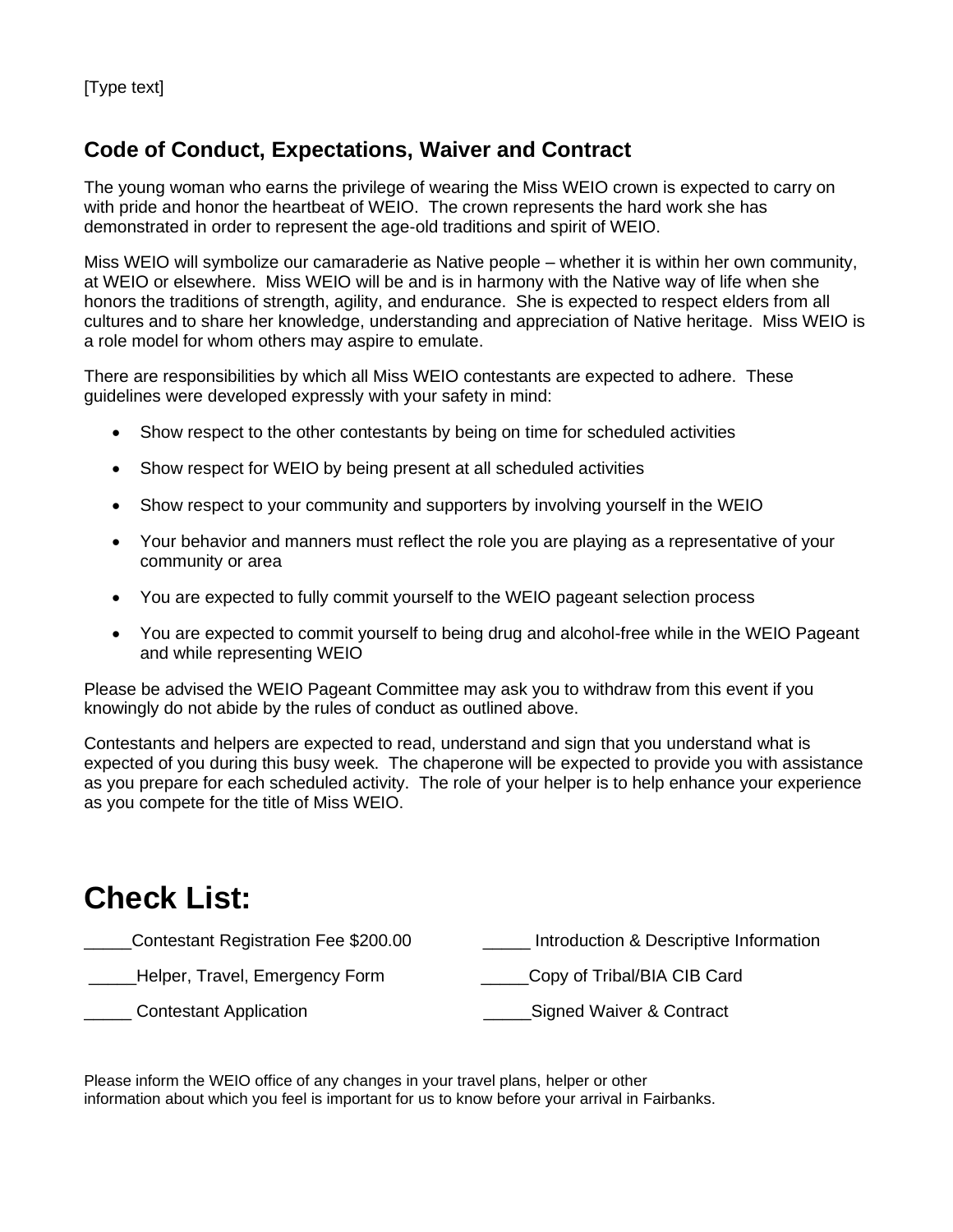## **Code of Conduct, Expectations, Waiver and Contract**

The young woman who earns the privilege of wearing the Miss WEIO crown is expected to carry on with pride and honor the heartbeat of WEIO. The crown represents the hard work she has demonstrated in order to represent the age-old traditions and spirit of WEIO.

Miss WEIO will symbolize our camaraderie as Native people – whether it is within her own community, at WEIO or elsewhere. Miss WEIO will be and is in harmony with the Native way of life when she honors the traditions of strength, agility, and endurance. She is expected to respect elders from all cultures and to share her knowledge, understanding and appreciation of Native heritage. Miss WEIO is a role model for whom others may aspire to emulate.

There are responsibilities by which all Miss WEIO contestants are expected to adhere. These guidelines were developed expressly with your safety in mind:

- Show respect to the other contestants by being on time for scheduled activities
- Show respect for WEIO by being present at all scheduled activities
- Show respect to your community and supporters by involving yourself in the WEIO
- Your behavior and manners must reflect the role you are playing as a representative of your community or area
- You are expected to fully commit yourself to the WEIO pageant selection process
- You are expected to commit yourself to being drug and alcohol-free while in the WEIO Pageant and while representing WEIO

Please be advised the WEIO Pageant Committee may ask you to withdraw from this event if you knowingly do not abide by the rules of conduct as outlined above.

Contestants and helpers are expected to read, understand and sign that you understand what is expected of you during this busy week. The chaperone will be expected to provide you with assistance as you prepare for each scheduled activity. The role of your helper is to help enhance your experience as you compete for the title of Miss WEIO.

# **Check List:**

| Contestant Registration Fee \$200.00 | Introduction & Descriptive Information |
|--------------------------------------|----------------------------------------|
| Helper, Travel, Emergency Form       | Copy of Tribal/BIA CIB Card            |
| <b>Contestant Application</b>        | Signed Waiver & Contract               |

Please inform the WEIO office of any changes in your travel plans, helper or other information about which you feel is important for us to know before your arrival in Fairbanks.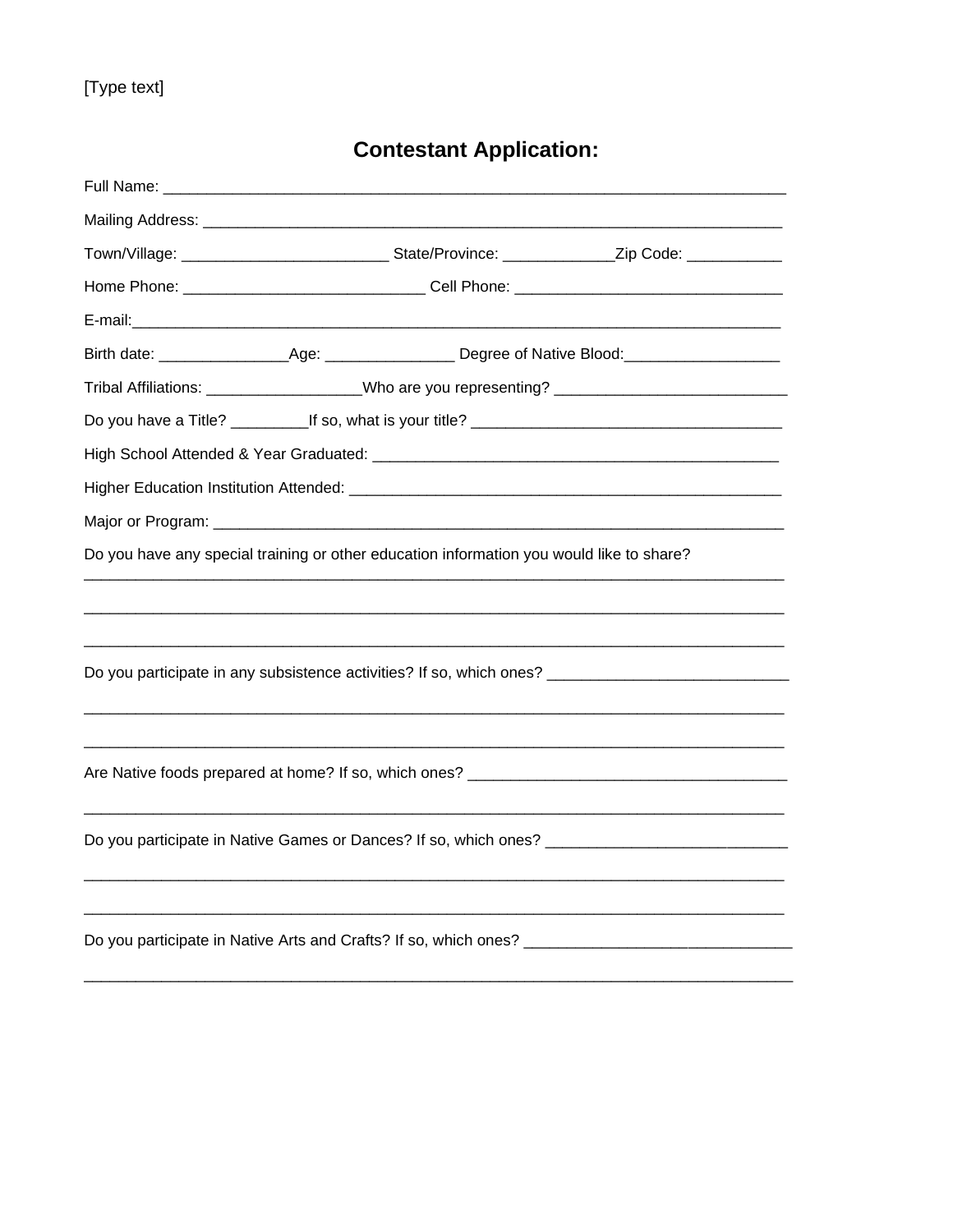# **Contestant Application:**

|                                                                                                      |                                                                                                     | Town/Village: _________________________________State/Province: _______________Zip Code: ____________ |  |                                                                                                                |  |
|------------------------------------------------------------------------------------------------------|-----------------------------------------------------------------------------------------------------|------------------------------------------------------------------------------------------------------|--|----------------------------------------------------------------------------------------------------------------|--|
|                                                                                                      |                                                                                                     |                                                                                                      |  |                                                                                                                |  |
|                                                                                                      |                                                                                                     |                                                                                                      |  |                                                                                                                |  |
|                                                                                                      |                                                                                                     |                                                                                                      |  | Birth date: ______________________Age: _________________________Degree of Native Blood:_______________________ |  |
|                                                                                                      | Tribal Affiliations: ____________________Who are you representing? ________________________________ |                                                                                                      |  |                                                                                                                |  |
|                                                                                                      |                                                                                                     |                                                                                                      |  |                                                                                                                |  |
|                                                                                                      |                                                                                                     |                                                                                                      |  |                                                                                                                |  |
|                                                                                                      |                                                                                                     |                                                                                                      |  |                                                                                                                |  |
|                                                                                                      |                                                                                                     |                                                                                                      |  |                                                                                                                |  |
| Do you have any special training or other education information you would like to share?             |                                                                                                     |                                                                                                      |  |                                                                                                                |  |
|                                                                                                      |                                                                                                     |                                                                                                      |  |                                                                                                                |  |
|                                                                                                      |                                                                                                     |                                                                                                      |  |                                                                                                                |  |
| Do you participate in any subsistence activities? If so, which ones? ______________________________  |                                                                                                     |                                                                                                      |  |                                                                                                                |  |
|                                                                                                      |                                                                                                     |                                                                                                      |  |                                                                                                                |  |
|                                                                                                      |                                                                                                     |                                                                                                      |  |                                                                                                                |  |
|                                                                                                      |                                                                                                     |                                                                                                      |  |                                                                                                                |  |
|                                                                                                      |                                                                                                     |                                                                                                      |  |                                                                                                                |  |
|                                                                                                      |                                                                                                     |                                                                                                      |  |                                                                                                                |  |
|                                                                                                      |                                                                                                     |                                                                                                      |  |                                                                                                                |  |
|                                                                                                      |                                                                                                     |                                                                                                      |  |                                                                                                                |  |
| Do you participate in Native Arts and Crafts? If so, which ones? ___________________________________ |                                                                                                     |                                                                                                      |  |                                                                                                                |  |
|                                                                                                      |                                                                                                     |                                                                                                      |  |                                                                                                                |  |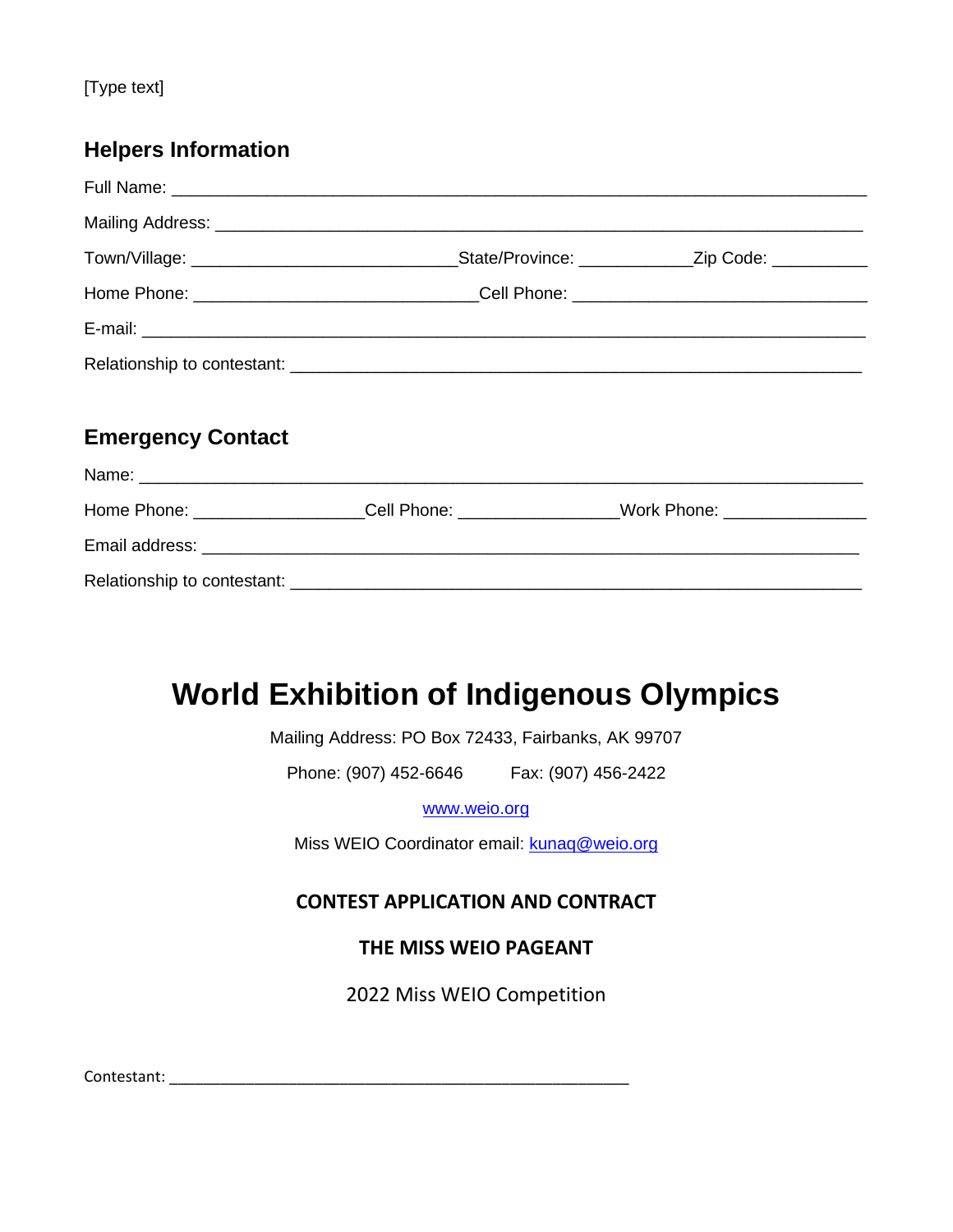## **Helpers Information**

| <b>Emergency Contact</b> |  |                                                                                         |  |  |
|--------------------------|--|-----------------------------------------------------------------------------------------|--|--|
|                          |  |                                                                                         |  |  |
|                          |  | Home Phone: ____________________Cell Phone: ________________Work Phone: _______________ |  |  |
|                          |  |                                                                                         |  |  |
|                          |  |                                                                                         |  |  |

# **World Exhibition of Indigenous Olympics**

Mailing Address: PO Box 72433, Fairbanks, AK 99707

Phone: (907) 452-6646 Fax: (907) 456-2422

[www.weio.org](http://www.weio.org/)

Miss WEIO Coordinator email: kunaq@weio.org

### **CONTEST APPLICATION AND CONTRACT**

**THE MISS WEIO PAGEANT**

2022 Miss WEIO Competition

Contestant: \_\_\_\_\_\_\_\_\_\_\_\_\_\_\_\_\_\_\_\_\_\_\_\_\_\_\_\_\_\_\_\_\_\_\_\_\_\_\_\_\_\_\_\_\_\_\_\_\_\_\_\_\_\_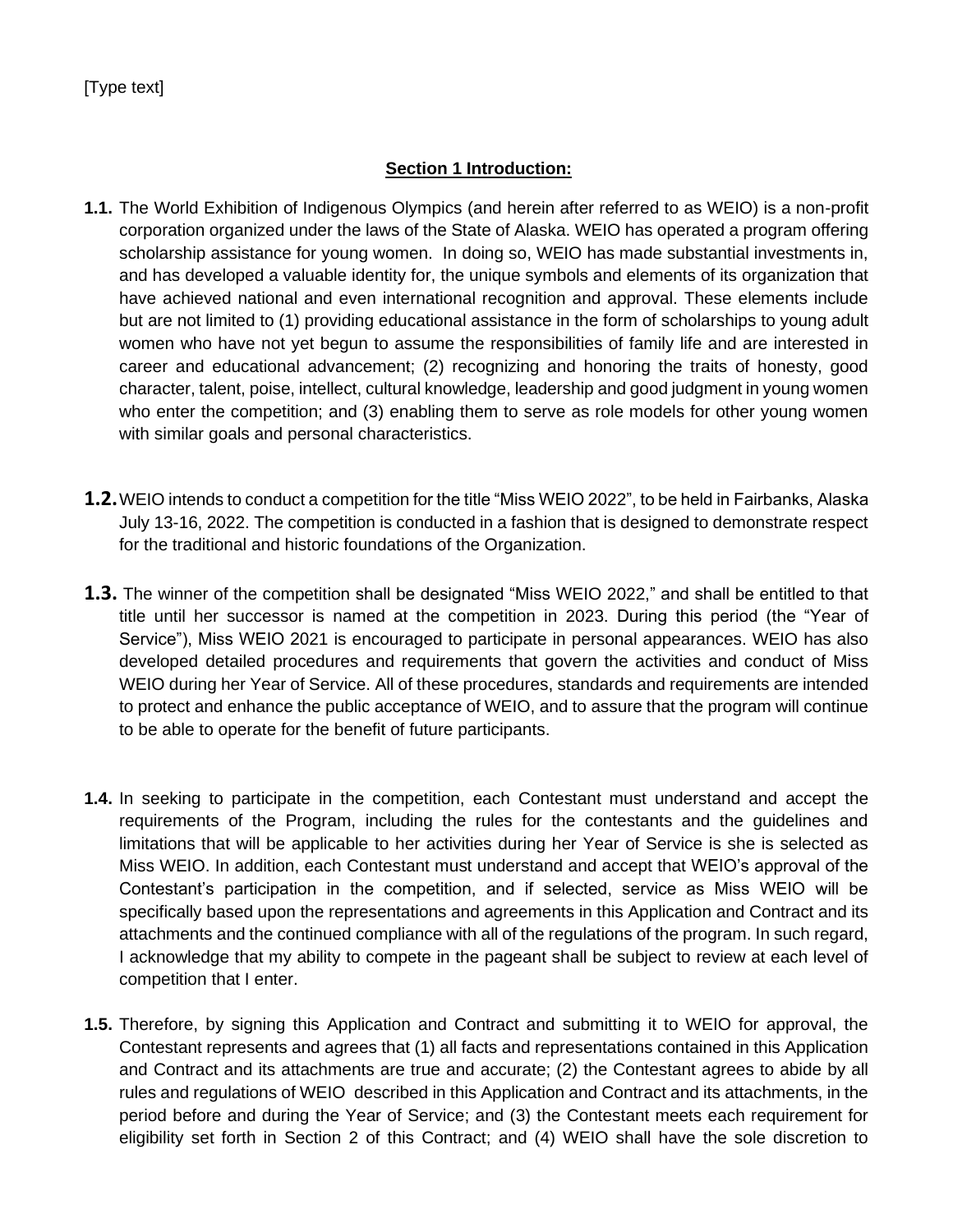### **Section 1 Introduction:**

- **1.1.** The World Exhibition of Indigenous Olympics (and herein after referred to as WEIO) is a non-profit corporation organized under the laws of the State of Alaska. WEIO has operated a program offering scholarship assistance for young women. In doing so, WEIO has made substantial investments in, and has developed a valuable identity for, the unique symbols and elements of its organization that have achieved national and even international recognition and approval. These elements include but are not limited to (1) providing educational assistance in the form of scholarships to young adult women who have not yet begun to assume the responsibilities of family life and are interested in career and educational advancement; (2) recognizing and honoring the traits of honesty, good character, talent, poise, intellect, cultural knowledge, leadership and good judgment in young women who enter the competition; and (3) enabling them to serve as role models for other young women with similar goals and personal characteristics.
- **1.2.**WEIO intends to conduct a competition for the title "Miss WEIO 2022", to be held in Fairbanks, Alaska July 13-16, 2022. The competition is conducted in a fashion that is designed to demonstrate respect for the traditional and historic foundations of the Organization.
- **1.3.** The winner of the competition shall be designated "Miss WEIO 2022," and shall be entitled to that title until her successor is named at the competition in 2023. During this period (the "Year of Service"), Miss WEIO 2021 is encouraged to participate in personal appearances. WEIO has also developed detailed procedures and requirements that govern the activities and conduct of Miss WEIO during her Year of Service. All of these procedures, standards and requirements are intended to protect and enhance the public acceptance of WEIO, and to assure that the program will continue to be able to operate for the benefit of future participants.
- **1.4.** In seeking to participate in the competition, each Contestant must understand and accept the requirements of the Program, including the rules for the contestants and the guidelines and limitations that will be applicable to her activities during her Year of Service is she is selected as Miss WEIO. In addition, each Contestant must understand and accept that WEIO's approval of the Contestant's participation in the competition, and if selected, service as Miss WEIO will be specifically based upon the representations and agreements in this Application and Contract and its attachments and the continued compliance with all of the regulations of the program. In such regard, I acknowledge that my ability to compete in the pageant shall be subject to review at each level of competition that I enter.
- **1.5.** Therefore, by signing this Application and Contract and submitting it to WEIO for approval, the Contestant represents and agrees that (1) all facts and representations contained in this Application and Contract and its attachments are true and accurate; (2) the Contestant agrees to abide by all rules and regulations of WEIO described in this Application and Contract and its attachments, in the period before and during the Year of Service; and (3) the Contestant meets each requirement for eligibility set forth in Section 2 of this Contract; and (4) WEIO shall have the sole discretion to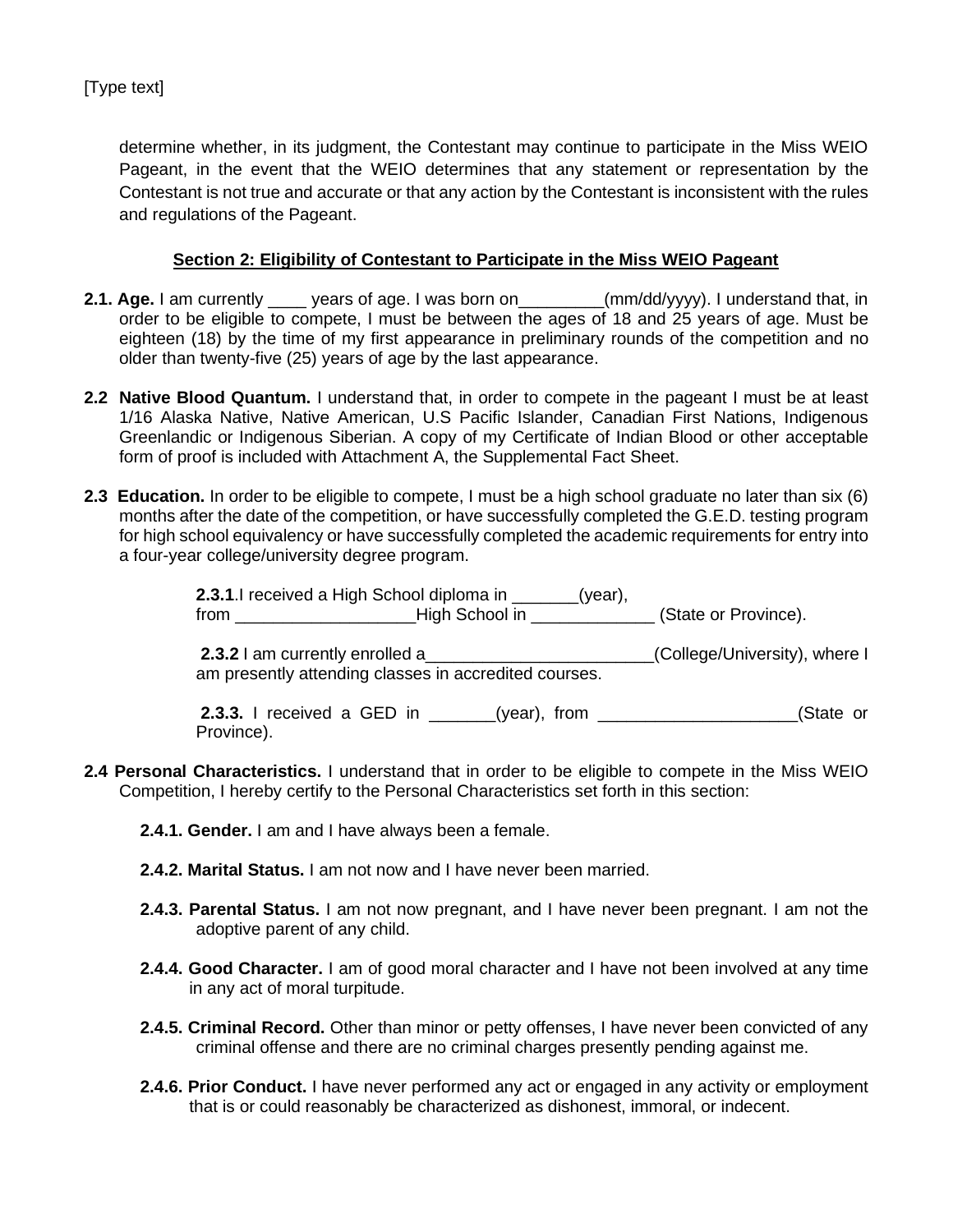determine whether, in its judgment, the Contestant may continue to participate in the Miss WEIO Pageant, in the event that the WEIO determines that any statement or representation by the Contestant is not true and accurate or that any action by the Contestant is inconsistent with the rules and regulations of the Pageant.

#### **Section 2: Eligibility of Contestant to Participate in the Miss WEIO Pageant**

- **2.1. Age.** I am currently \_\_\_\_ years of age. I was born on\_\_\_\_\_\_\_\_\_(mm/dd/yyyy). I understand that, in order to be eligible to compete, I must be between the ages of 18 and 25 years of age. Must be eighteen (18) by the time of my first appearance in preliminary rounds of the competition and no older than twenty-five (25) years of age by the last appearance.
- **2.2 Native Blood Quantum.** I understand that, in order to compete in the pageant I must be at least 1/16 Alaska Native, Native American, U.S Pacific Islander, Canadian First Nations, Indigenous Greenlandic or Indigenous Siberian. A copy of my Certificate of Indian Blood or other acceptable form of proof is included with Attachment A, the Supplemental Fact Sheet.
- **2.3 Education.** In order to be eligible to compete, I must be a high school graduate no later than six (6) months after the date of the competition, or have successfully completed the G.E.D. testing program for high school equivalency or have successfully completed the academic requirements for entry into a four-year college/university degree program.

**2.3.1**.I received a High School diploma in \_\_\_\_\_\_\_(year), from \_\_\_\_\_\_\_\_\_\_\_\_\_\_\_\_\_\_\_High School in \_\_\_\_\_\_\_\_\_\_\_\_\_ (State or Province).

**2.3.2** I am currently enrolled a\_\_\_\_\_\_\_\_\_\_\_\_\_\_\_\_\_\_\_\_\_\_\_\_(College/University), where I am presently attending classes in accredited courses.

**2.3.3.** I received a GED in  $(year)$ , from  $(State \space or \space)$ Province).

- **2.4 Personal Characteristics.** I understand that in order to be eligible to compete in the Miss WEIO Competition, I hereby certify to the Personal Characteristics set forth in this section:
	- **2.4.1. Gender.** I am and I have always been a female.
	- **2.4.2. Marital Status.** I am not now and I have never been married.
	- **2.4.3. Parental Status.** I am not now pregnant, and I have never been pregnant. I am not the adoptive parent of any child.
	- **2.4.4. Good Character.** I am of good moral character and I have not been involved at any time in any act of moral turpitude.
	- **2.4.5. Criminal Record.** Other than minor or petty offenses, I have never been convicted of any criminal offense and there are no criminal charges presently pending against me.
	- **2.4.6. Prior Conduct.** I have never performed any act or engaged in any activity or employment that is or could reasonably be characterized as dishonest, immoral, or indecent.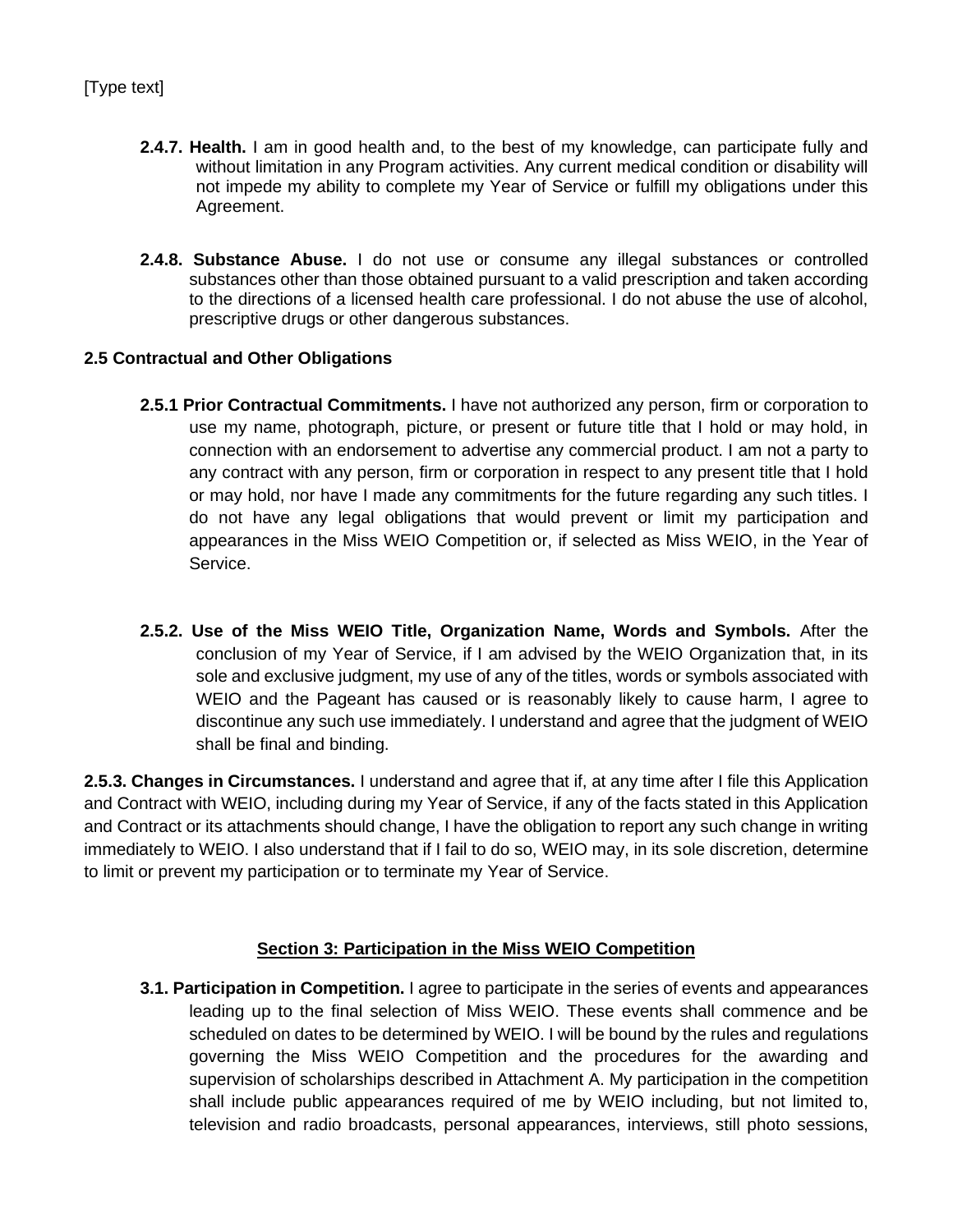- **2.4.7. Health.** I am in good health and, to the best of my knowledge, can participate fully and without limitation in any Program activities. Any current medical condition or disability will not impede my ability to complete my Year of Service or fulfill my obligations under this Agreement.
- **2.4.8. Substance Abuse.** I do not use or consume any illegal substances or controlled substances other than those obtained pursuant to a valid prescription and taken according to the directions of a licensed health care professional. I do not abuse the use of alcohol, prescriptive drugs or other dangerous substances.

### **2.5 Contractual and Other Obligations**

- **2.5.1 Prior Contractual Commitments.** I have not authorized any person, firm or corporation to use my name, photograph, picture, or present or future title that I hold or may hold, in connection with an endorsement to advertise any commercial product. I am not a party to any contract with any person, firm or corporation in respect to any present title that I hold or may hold, nor have I made any commitments for the future regarding any such titles. I do not have any legal obligations that would prevent or limit my participation and appearances in the Miss WEIO Competition or, if selected as Miss WEIO, in the Year of Service.
- **2.5.2. Use of the Miss WEIO Title, Organization Name, Words and Symbols.** After the conclusion of my Year of Service, if I am advised by the WEIO Organization that, in its sole and exclusive judgment, my use of any of the titles, words or symbols associated with WEIO and the Pageant has caused or is reasonably likely to cause harm, I agree to discontinue any such use immediately. I understand and agree that the judgment of WEIO shall be final and binding.

**2.5.3. Changes in Circumstances.** I understand and agree that if, at any time after I file this Application and Contract with WEIO, including during my Year of Service, if any of the facts stated in this Application and Contract or its attachments should change, I have the obligation to report any such change in writing immediately to WEIO. I also understand that if I fail to do so, WEIO may, in its sole discretion, determine to limit or prevent my participation or to terminate my Year of Service.

### **Section 3: Participation in the Miss WEIO Competition**

**3.1. Participation in Competition.** I agree to participate in the series of events and appearances leading up to the final selection of Miss WEIO. These events shall commence and be scheduled on dates to be determined by WEIO. I will be bound by the rules and regulations governing the Miss WEIO Competition and the procedures for the awarding and supervision of scholarships described in Attachment A. My participation in the competition shall include public appearances required of me by WEIO including, but not limited to, television and radio broadcasts, personal appearances, interviews, still photo sessions,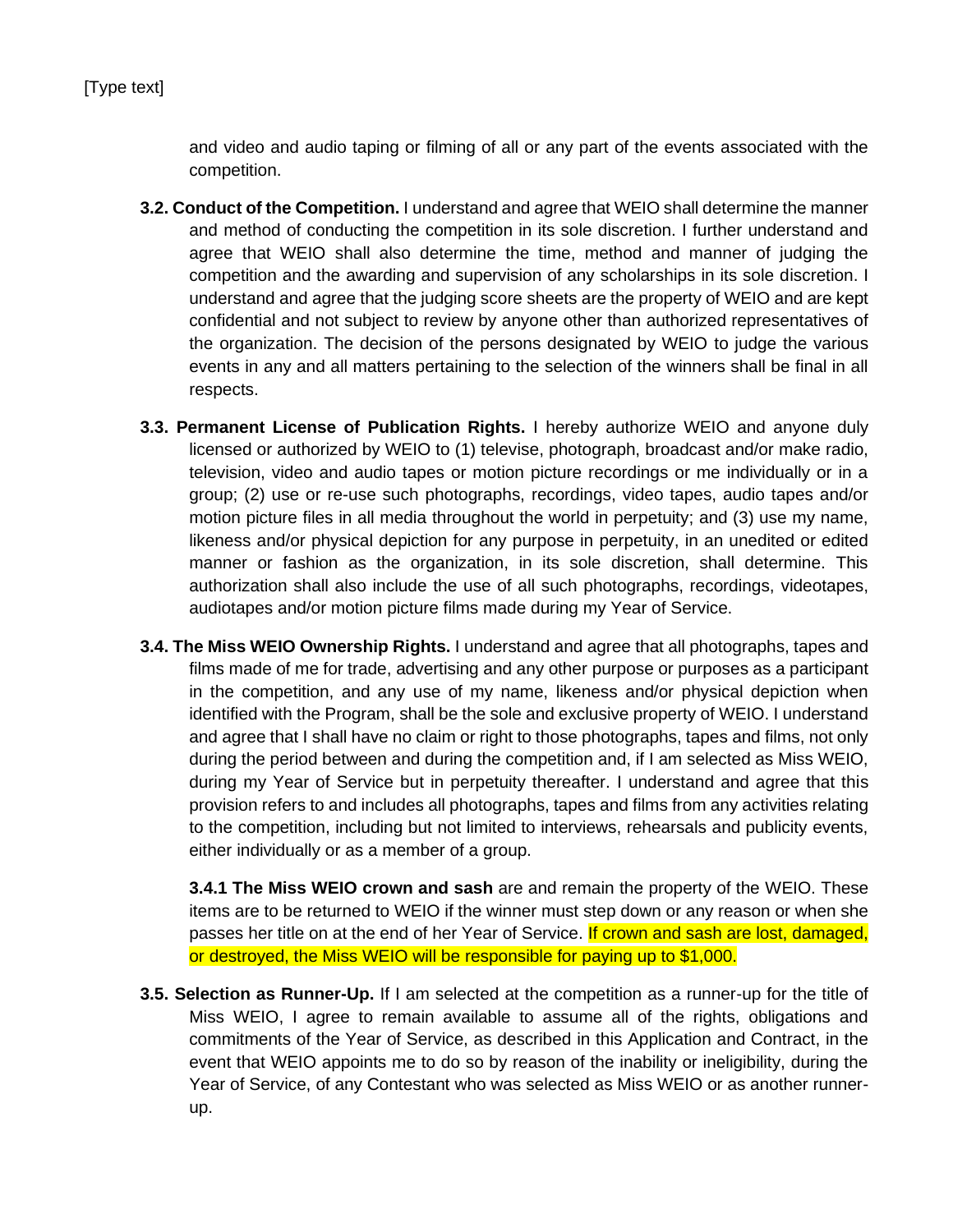and video and audio taping or filming of all or any part of the events associated with the competition.

- **3.2. Conduct of the Competition.** I understand and agree that WEIO shall determine the manner and method of conducting the competition in its sole discretion. I further understand and agree that WEIO shall also determine the time, method and manner of judging the competition and the awarding and supervision of any scholarships in its sole discretion. I understand and agree that the judging score sheets are the property of WEIO and are kept confidential and not subject to review by anyone other than authorized representatives of the organization. The decision of the persons designated by WEIO to judge the various events in any and all matters pertaining to the selection of the winners shall be final in all respects.
- **3.3. Permanent License of Publication Rights.** I hereby authorize WEIO and anyone duly licensed or authorized by WEIO to (1) televise, photograph, broadcast and/or make radio, television, video and audio tapes or motion picture recordings or me individually or in a group; (2) use or re-use such photographs, recordings, video tapes, audio tapes and/or motion picture files in all media throughout the world in perpetuity; and (3) use my name, likeness and/or physical depiction for any purpose in perpetuity, in an unedited or edited manner or fashion as the organization, in its sole discretion, shall determine. This authorization shall also include the use of all such photographs, recordings, videotapes, audiotapes and/or motion picture films made during my Year of Service.
- **3.4. The Miss WEIO Ownership Rights.** I understand and agree that all photographs, tapes and films made of me for trade, advertising and any other purpose or purposes as a participant in the competition, and any use of my name, likeness and/or physical depiction when identified with the Program, shall be the sole and exclusive property of WEIO. I understand and agree that I shall have no claim or right to those photographs, tapes and films, not only during the period between and during the competition and, if I am selected as Miss WEIO, during my Year of Service but in perpetuity thereafter. I understand and agree that this provision refers to and includes all photographs, tapes and films from any activities relating to the competition, including but not limited to interviews, rehearsals and publicity events, either individually or as a member of a group.

**3.4.1 The Miss WEIO crown and sash** are and remain the property of the WEIO. These items are to be returned to WEIO if the winner must step down or any reason or when she passes her title on at the end of her Year of Service. If crown and sash are lost, damaged, or destroyed, the Miss WEIO will be responsible for paying up to \$1,000.

**3.5. Selection as Runner-Up.** If I am selected at the competition as a runner-up for the title of Miss WEIO, I agree to remain available to assume all of the rights, obligations and commitments of the Year of Service, as described in this Application and Contract, in the event that WEIO appoints me to do so by reason of the inability or ineligibility, during the Year of Service, of any Contestant who was selected as Miss WEIO or as another runnerup.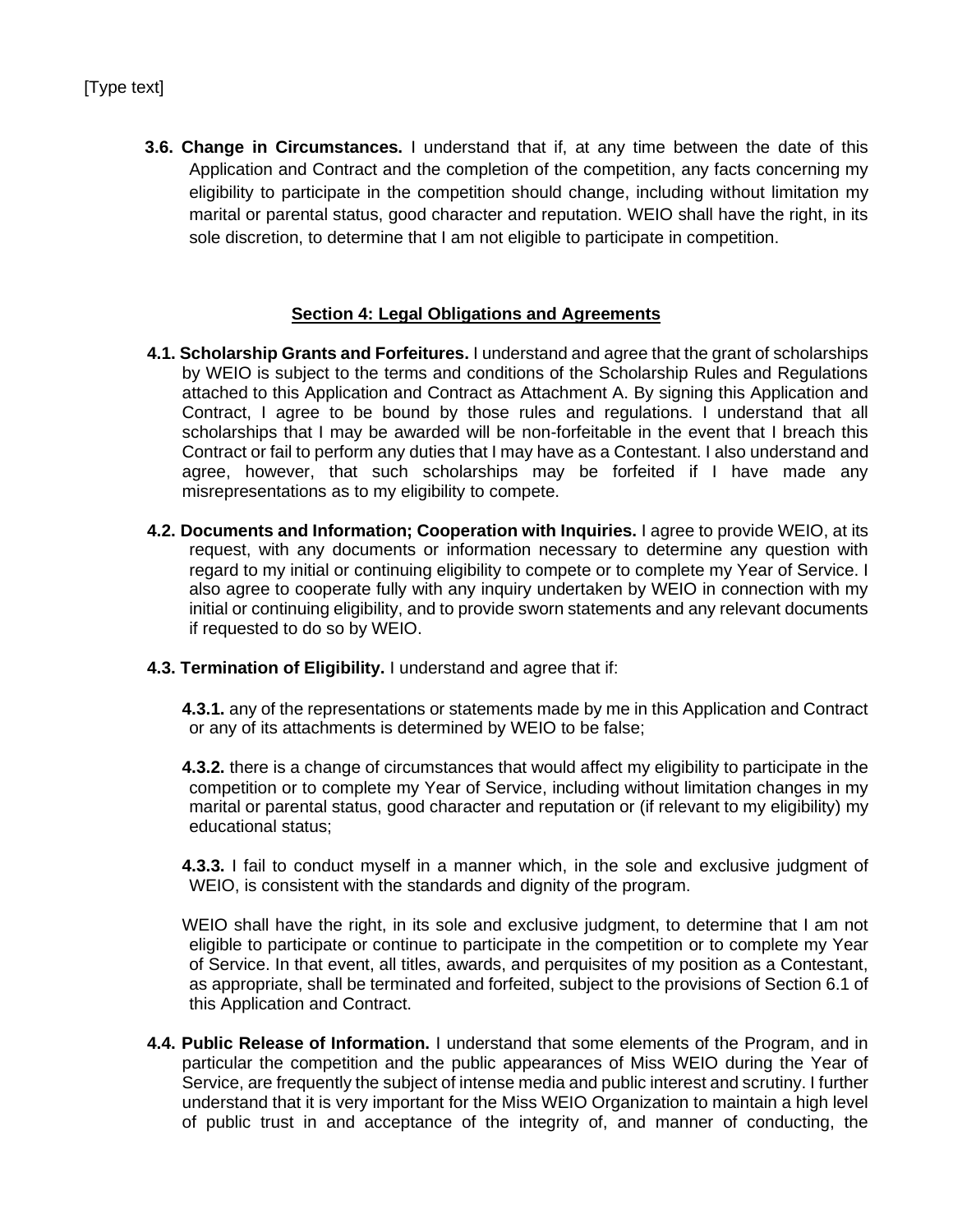**3.6. Change in Circumstances.** I understand that if, at any time between the date of this Application and Contract and the completion of the competition, any facts concerning my eligibility to participate in the competition should change, including without limitation my marital or parental status, good character and reputation. WEIO shall have the right, in its sole discretion, to determine that I am not eligible to participate in competition.

### **Section 4: Legal Obligations and Agreements**

- **4.1. Scholarship Grants and Forfeitures.** I understand and agree that the grant of scholarships by WEIO is subject to the terms and conditions of the Scholarship Rules and Regulations attached to this Application and Contract as Attachment A. By signing this Application and Contract, I agree to be bound by those rules and regulations. I understand that all scholarships that I may be awarded will be non-forfeitable in the event that I breach this Contract or fail to perform any duties that I may have as a Contestant. I also understand and agree, however, that such scholarships may be forfeited if I have made any misrepresentations as to my eligibility to compete.
- **4.2. Documents and Information; Cooperation with Inquiries.** I agree to provide WEIO, at its request, with any documents or information necessary to determine any question with regard to my initial or continuing eligibility to compete or to complete my Year of Service. I also agree to cooperate fully with any inquiry undertaken by WEIO in connection with my initial or continuing eligibility, and to provide sworn statements and any relevant documents if requested to do so by WEIO.
- **4.3. Termination of Eligibility.** I understand and agree that if:
	- **4.3.1.** any of the representations or statements made by me in this Application and Contract or any of its attachments is determined by WEIO to be false;
	- **4.3.2.** there is a change of circumstances that would affect my eligibility to participate in the competition or to complete my Year of Service, including without limitation changes in my marital or parental status, good character and reputation or (if relevant to my eligibility) my educational status;
	- **4.3.3.** I fail to conduct myself in a manner which, in the sole and exclusive judgment of WEIO, is consistent with the standards and dignity of the program.
	- WEIO shall have the right, in its sole and exclusive judgment, to determine that I am not eligible to participate or continue to participate in the competition or to complete my Year of Service. In that event, all titles, awards, and perquisites of my position as a Contestant, as appropriate, shall be terminated and forfeited, subject to the provisions of Section 6.1 of this Application and Contract.
- **4.4. Public Release of Information.** I understand that some elements of the Program, and in particular the competition and the public appearances of Miss WEIO during the Year of Service, are frequently the subject of intense media and public interest and scrutiny. I further understand that it is very important for the Miss WEIO Organization to maintain a high level of public trust in and acceptance of the integrity of, and manner of conducting, the